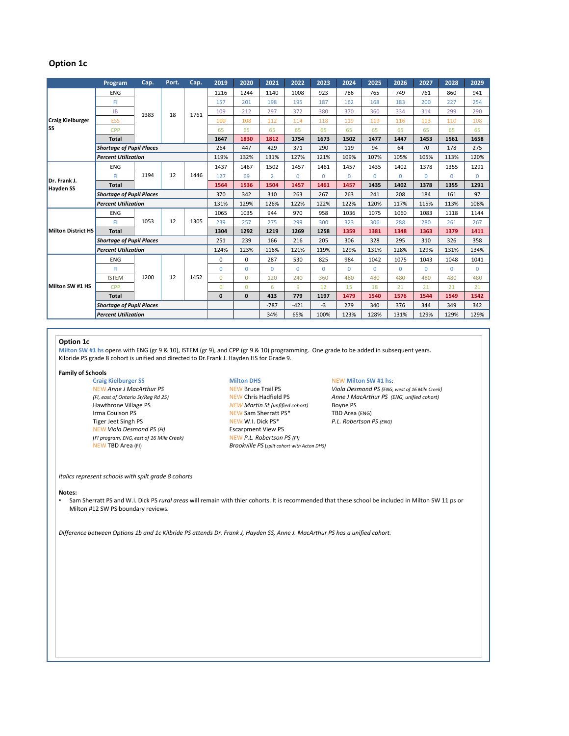# **Option 1c**

|                                  | Program                         | Cap. | Port. | Cap. | 2019         | 2020         | 2021           | 2022        | 2023     | 2024     | 2025     | 2026     | 2027     | 2028     | 2029     |
|----------------------------------|---------------------------------|------|-------|------|--------------|--------------|----------------|-------------|----------|----------|----------|----------|----------|----------|----------|
| <b>Craig Kielburger</b><br>lss   | <b>ENG</b>                      | 1383 | 18    | 1761 | 1216         | 1244         | 1140           | 1008        | 923      | 786      | 765      | 749      | 761      | 860      | 941      |
|                                  | FI                              |      |       |      | 157          | 201          | 198            | 195         | 187      | 162      | 168      | 183      | 200      | 227      | 254      |
|                                  | <b>IB</b>                       |      |       |      | 109          | 212          | 297            | 372         | 380      | 370      | 360      | 334      | 314      | 299      | 290      |
|                                  | ESS                             |      |       |      | 100          | 108          | 112            | 114         | 118      | 119      | 119      | 116      | 113      | 110      | 108      |
|                                  | <b>CPP</b>                      |      |       |      | 65           | 65           | 65             | 65          | 65       | 65       | 65       | 65       | 65       | 65       | 65       |
|                                  | <b>Total</b>                    |      |       |      | 1647         | 1830         | 1812           | 1754        | 1673     | 1502     | 1477     | 1447     | 1453     | 1561     | 1658     |
|                                  | <b>Shortage of Pupil Places</b> |      |       |      | 264          | 447          | 429            | 371         | 290      | 119      | 94       | 64       | 70       | 178      | 275      |
|                                  | <b>Percent Utilization</b>      |      |       |      | 119%         | 132%         | 131%           | 127%        | 121%     | 109%     | 107%     | 105%     | 105%     | 113%     | 120%     |
| Dr. Frank J.<br><b>Hayden SS</b> | ENG                             | 1194 | 12    | 1446 | 1437         | 1467         | 1502           | 1457        | 1461     | 1457     | 1435     | 1402     | 1378     | 1355     | 1291     |
|                                  | FI                              |      |       |      | 127          | 69           | $\overline{2}$ | $\Omega$    | $\Omega$ | $\Omega$ | $\Omega$ | $\Omega$ | $\Omega$ | $\Omega$ | $\Omega$ |
|                                  | <b>Total</b>                    |      |       |      | 1564         | 1536         | 1504           | 1457        | 1461     | 1457     | 1435     | 1402     | 1378     | 1355     | 1291     |
|                                  | <b>Shortage of Pupil Places</b> |      |       |      | 370          | 342          | 310            | 263         | 267      | 263      | 241      | 208      | 184      | 161      | 97       |
|                                  | <b>Percent Utilization</b>      |      |       |      | 131%         | 129%         | 126%           | 122%        | 122%     | 122%     | 120%     | 117%     | 115%     | 113%     | 108%     |
| <b>Milton District HS</b>        | <b>ENG</b>                      | 1053 | 12    | 1305 | 1065         | 1035         | 944            | 970         | 958      | 1036     | 1075     | 1060     | 1083     | 1118     | 1144     |
|                                  | FI                              |      |       |      | 239          | 257          | 275            | 299         | 300      | 323      | 306      | 288      | 280      | 261      | 267      |
|                                  | <b>Total</b>                    |      |       |      | 1304         | 1292         | 1219           | 1269        | 1258     | 1359     | 1381     | 1348     | 1363     | 1379     | 1411     |
|                                  | <b>Shortage of Pupil Places</b> |      |       |      | 251          | 239          | 166            | 216         | 205      | 306      | 328      | 295      | 310      | 326      | 358      |
|                                  | <b>Percent Utilization</b>      |      |       |      | 124%         | 123%         | 116%           | 121%        | 119%     | 129%     | 131%     | 128%     | 129%     | 131%     | 134%     |
| Milton SW #1 HS                  | <b>ENG</b>                      | 1200 | 12    | 1452 | 0            | $\mathbf 0$  | 287            | 530         | 825      | 984      | 1042     | 1075     | 1043     | 1048     | 1041     |
|                                  | FI                              |      |       |      | $\Omega$     | $\Omega$     | $\Omega$       | $\mathbf 0$ | $\Omega$ | $\Omega$ | $\Omega$ | $\Omega$ | $\Omega$ | $\Omega$ | $\Omega$ |
|                                  | <b>ISTEM</b>                    |      |       |      | $\Omega$     | $\Omega$     | 120            | 240         | 360      | 480      | 480      | 480      | 480      | 480      | 480      |
|                                  | <b>CPP</b>                      |      |       |      | $\Omega$     | $\Omega$     | 6              | 9           | 12       | 15       | 18       | 21       | 21       | 21       | 21       |
|                                  | Total                           |      |       |      | $\mathbf{0}$ | $\mathbf{0}$ | 413            | 779         | 1197     | 1479     | 1540     | 1576     | 1544     | 1549     | 1542     |
|                                  | <b>Shortage of Pupil Places</b> |      |       |      |              |              | $-787$         | $-421$      | $-3$     | 279      | 340      | 376      | 344      | 349      | 342      |
|                                  | <b>Percent Utilization</b>      |      |       |      |              |              | 34%            | 65%         | 100%     | 123%     | 128%     | 131%     | 129%     | 129%     | 129%     |

## **Option 1c**

**Milton SW #1 hs** opens with ENG (gr 9 & 10), ISTEM (gr 9), and CPP (gr 9 & 10) programming. One grade to be added in subsequent years. Kilbride PS grade 8 cohort is unified and directed to Dr.Frank J. Hayden HS for Grade 9.

### **Family of Schools**

**Craig Kielburger SS Craig Kielburger SS Milton DHS MEW Milton SW #1 hs:** NEW Milton SW #1 hs: NEW Anne J MacArthur PS Irma Coulson PS NEW Sam Sherratt PS\* Tiger Jeet Singh PS *(ENG)*<br>
NEW Viola Desmond PS (FI) **PERTIC EXECUTE PS** Escarpment View PS<br>
Escarpment View PS **NEW Viola Desmond PS (FI)** (*FI program, ENG, east of 16 Mile Creek)* NEW *P.L. Robertson PS (FI)*

*NEW Martin St (unfified cohort)* Boyne PS<br>*NEW Sam Sherratt PS\** TBD Area (ENG) NEW TBD Area (FI) *Brookville PS* (*split cohort with Acton DHS)*

NEW Anne J MacArthur PS **New Bruce Trail PS** *NEW Bruce Trail PS Viola Desmond PS (ENG, west of 16 Mile Creek)*<br>
NEW Chris Hadfield PS *Anne J MacArthur PS (ENG, unified cohort) (FI, east of Ontario St/Reg Rd 25)* NEW Chris Hadfield PS *Anne J MacArthur PS (ENG, unified cohort)*

### *Italics represent schools with spilt grade 8 cohorts*

### **Notes:**

• Sam Sherratt PS and W.I. Dick PS *rural areas* will remain with thier cohorts. It is recommended that these school be included in Milton SW 11 ps or Milton #12 SW PS boundary reviews.

*Difference between Options 1b and 1c Kilbride PS attends Dr. Frank J, Hayden SS, Anne J. MacArthur PS has a unified cohort.*